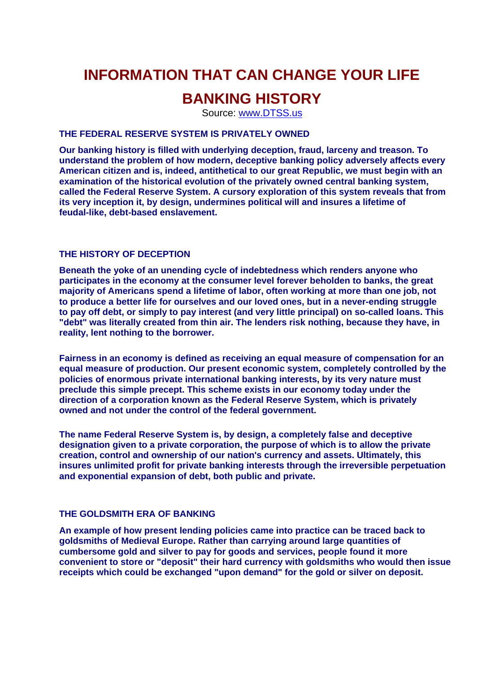# **INFORMATION THAT CAN CHANGE YOUR LIFE**

## **BANKING HISTORY**

Source: <www.DTSS.us>

## **THE FEDERAL RESERVE SYSTEM IS PRIVATELY OWNED**

**Our banking history is filled with underlying deception, fraud, larceny and treason. To understand the problem of how modern, deceptive banking policy adversely affects every American citizen and is, indeed, antithetical to our great Republic, we must begin with an examination of the historical evolution of the privately owned central banking system, called the Federal Reserve System. A cursory exploration of this system reveals that from its very inception it, by design, undermines political will and insures a lifetime of feudal-like, debt-based enslavement.** 

#### **THE HISTORY OF DECEPTION**

**Beneath the yoke of an unending cycle of indebtedness which renders anyone who participates in the economy at the consumer level forever beholden to banks, the great majority of Americans spend a lifetime of labor, often working at more than one job, not to produce a better life for ourselves and our loved ones, but in a never-ending struggle to pay off debt, or simply to pay interest (and very little principal) on so-called loans. This "debt" was literally created from thin air. The lenders risk nothing, because they have, in reality, lent nothing to the borrower.**

**Fairness in an economy is defined as receiving an equal measure of compensation for an equal measure of production. Our present economic system, completely controlled by the policies of enormous private international banking interests, by its very nature must preclude this simple precept. This scheme exists in our economy today under the direction of a corporation known as the Federal Reserve System, which is privately owned and not under the control of the federal government.** 

**The name Federal Reserve System is, by design, a completely false and deceptive designation given to a private corporation, the purpose of which is to allow the private creation, control and ownership of our nation's currency and assets. Ultimately, this insures unlimited profit for private banking interests through the irreversible perpetuation and exponential expansion of debt, both public and private.**

#### **THE GOLDSMITH ERA OF BANKING**

**An example of how present lending policies came into practice can be traced back to goldsmiths of Medieval Europe. Rather than carrying around large quantities of cumbersome gold and silver to pay for goods and services, people found it more convenient to store or "deposit" their hard currency with goldsmiths who would then issue receipts which could be exchanged "upon demand" for the gold or silver on deposit.**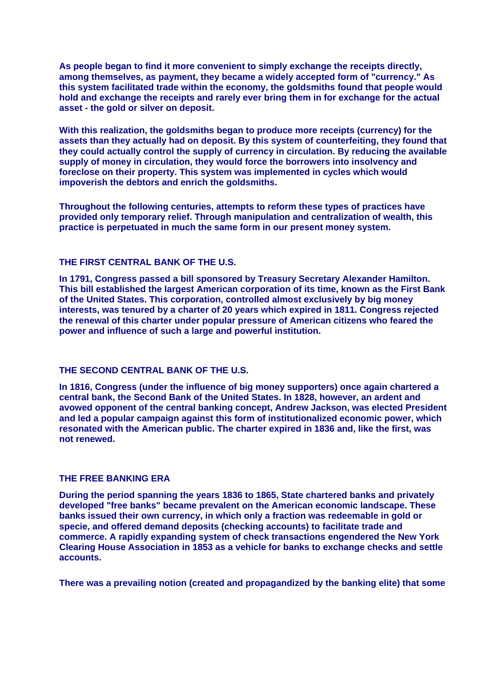**As people began to find it more convenient to simply exchange the receipts directly, among themselves, as payment, they became a widely accepted form of "currency." As this system facilitated trade within the economy, the goldsmiths found that people would hold and exchange the receipts and rarely ever bring them in for exchange for the actual asset - the gold or silver on deposit.**

**With this realization, the goldsmiths began to produce more receipts (currency) for the assets than they actually had on deposit. By this system of counterfeiting, they found that they could actually control the supply of currency in circulation. By reducing the available supply of money in circulation, they would force the borrowers into insolvency and foreclose on their property. This system was implemented in cycles which would impoverish the debtors and enrich the goldsmiths.** 

**Throughout the following centuries, attempts to reform these types of practices have provided only temporary relief. Through manipulation and centralization of wealth, this practice is perpetuated in much the same form in our present money system.**

## **THE FIRST CENTRAL BANK OF THE U.S.**

**In 1791, Congress passed a bill sponsored by Treasury Secretary Alexander Hamilton. This bill established the largest American corporation of its time, known as the First Bank of the United States. This corporation, controlled almost exclusively by big money interests, was tenured by a charter of 20 years which expired in 1811. Congress rejected the renewal of this charter under popular pressure of American citizens who feared the power and influence of such a large and powerful institution.**

#### **THE SECOND CENTRAL BANK OF THE U.S.**

**In 1816, Congress (under the influence of big money supporters) once again chartered a central bank, the Second Bank of the United States. In 1828, however, an ardent and avowed opponent of the central banking concept, Andrew Jackson, was elected President and led a popular campaign against this form of institutionalized economic power, which resonated with the American public. The charter expired in 1836 and, like the first, was not renewed.**

#### **THE FREE BANKING ERA**

**During the period spanning the years 1836 to 1865, State chartered banks and privately developed "free banks" became prevalent on the American economic landscape. These banks issued their own currency, in which only a fraction was redeemable in gold or specie, and offered demand deposits (checking accounts) to facilitate trade and commerce. A rapidly expanding system of check transactions engendered the New York Clearing House Association in 1853 as a vehicle for banks to exchange checks and settle accounts.**

**There was a prevailing notion (created and propagandized by the banking elite) that some**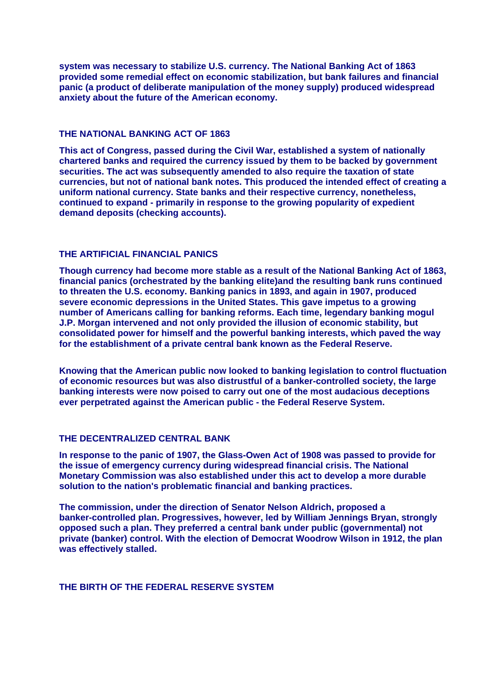**system was necessary to stabilize U.S. currency. The National Banking Act of 1863 provided some remedial effect on economic stabilization, but bank failures and financial panic (a product of deliberate manipulation of the money supply) produced widespread anxiety about the future of the American economy.**

## **THE NATIONAL BANKING ACT OF 1863**

**This act of Congress, passed during the Civil War, established a system of nationally chartered banks and required the currency issued by them to be backed by government securities. The act was subsequently amended to also require the taxation of state currencies, but not of national bank notes. This produced the intended effect of creating a uniform national currency. State banks and their respective currency, nonetheless, continued to expand - primarily in response to the growing popularity of expedient demand deposits (checking accounts).**

#### **THE ARTIFICIAL FINANCIAL PANICS**

**Though currency had become more stable as a result of the National Banking Act of 1863, financial panics (orchestrated by the banking elite)and the resulting bank runs continued to threaten the U.S. economy. Banking panics in 1893, and again in 1907, produced severe economic depressions in the United States. This gave impetus to a growing number of Americans calling for banking reforms. Each time, legendary banking mogul J.P. Morgan intervened and not only provided the illusion of economic stability, but consolidated power for himself and the powerful banking interests, which paved the way for the establishment of a private central bank known as the Federal Reserve.**

**Knowing that the American public now looked to banking legislation to control fluctuation of economic resources but was also distrustful of a banker-controlled society, the large banking interests were now poised to carry out one of the most audacious deceptions ever perpetrated against the American public - the Federal Reserve System.**

## **THE DECENTRALIZED CENTRAL BANK**

**In response to the panic of 1907, the Glass-Owen Act of 1908 was passed to provide for the issue of emergency currency during widespread financial crisis. The National Monetary Commission was also established under this act to develop a more durable solution to the nation's problematic financial and banking practices.**

**The commission, under the direction of Senator Nelson Aldrich, proposed a banker-controlled plan. Progressives, however, led by William Jennings Bryan, st rongly opposed such a plan. They preferred a central bank under public (governmental) not private (banker) control. With the election of Democrat Woodrow Wilson in 1912, the plan was effectively stalled.**

## **THE BIRTH OF THE FEDERAL RESERVE SYSTEM**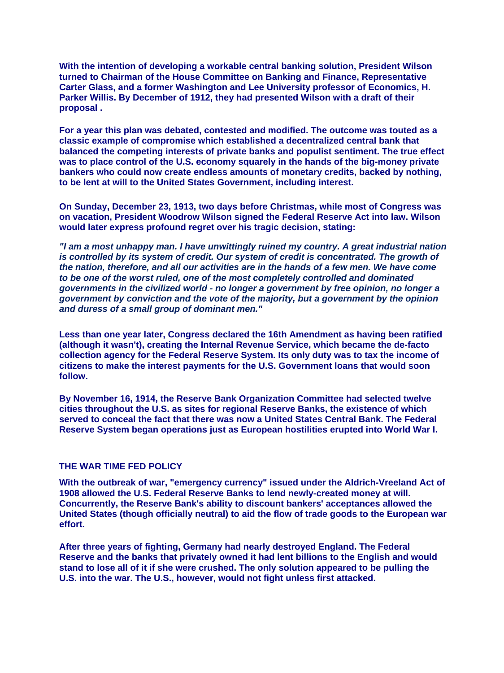**With the intention of developing a workable central banking solution, President Wilson turned to Chairman of the House Committee on Banking and Finance, Representative Carter Glass, and a former Washington and Lee University professor of Economics, H. Parker Willis. By December of 1912, they had presented Wilson with a draft of their proposal .**

**For a year this plan was debated, contested and modified. The outcome was touted as a classic example of compromise which established a decentralized central bank that balanced the competing interests of private banks and populist sentiment. The true effect was to place control of the U.S. economy squarely in the hands of the big-money private bankers who could now create endless amounts of monetary credits, backed by nothing, to be lent at will to the United States Government, including interest.** 

**On Sunday, December 23, 1913, two days before Christmas, while most of Congress was on vacation, President Woodrow Wilson signed the Federal Reserve Act into law. Wilson would later express profound regret over his tragic decision, stating:**

*"I am a most unhappy man. I have unwittingly ruined my country. A great industrial nation*  is controlled by its system of credit. Our system of credit is concentrated. The growth of *the nation, therefore, and all our activities are in the hands of a few men. We have come to be one of the worst ruled, one of the most completely controlled and dominated governments in the civilized world - no longer a government by free opinion, no longer a government by conviction and the vote of the majority, but a government by the opinion and duress of a small group of dominant men."*

**Less than one year later, Congress declared the 16th Amendment as having been ratified (although it wasn't), creating the Internal Revenue Service, which became the de-facto collection agency for the Federal Reserve System. Its only duty was to tax the income of citizens to make the interest payments for the U.S. Government loans that would soon follow.**

**By November 16, 1914, the Reserve Bank Organization Committee had selected twelve cities throughout the U.S. as sites for regional Reserve Banks, the existence of which served to conceal the fact that there was now a United States Central Bank. The Federal Reserve System began operations just as European hostilities erupted into World War I.** 

#### **THE WAR TIME FED POLICY**

**With the outbreak of war, "emergency currency" issued under the Aldrich-Vreeland Act of 1908 allowed the U.S. Federal Reserve Banks to lend newly-created money at will. Concurrently, the Reserve Bank's ability to discount bankers' acceptances allowed the United States (though officially neutral) to aid the flow of trade goods to the European war effort.** 

**After three years of fighting, Germany had nearly destroyed England. The Federal Reserve and the banks that privately owned it had lent billions to the English and would stand to lose all of it if she were crushed. The only solution appeared to be pulling the U.S. into the war. The U.S., however, would not fight unless first attacked.**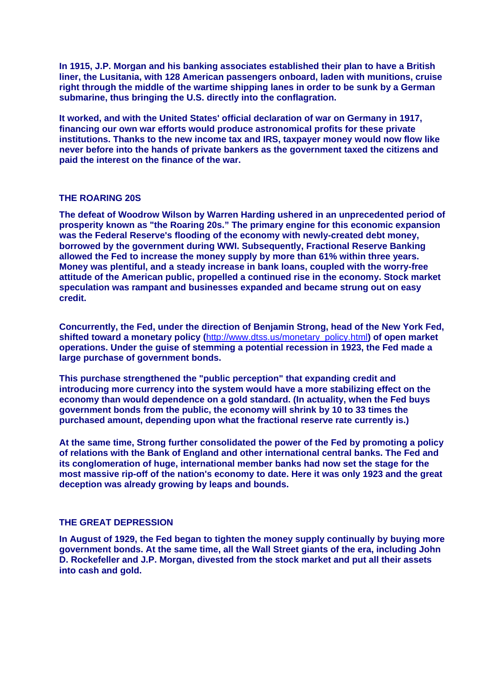**In 1915, J.P. Morgan and his banking associates established their plan to have a British liner, the Lusitania, with 128 American passengers onboard, laden with munitions, cruise right through the middle of the wartime shipping lanes in order to be sunk by a German submarine, thus bringing the U.S. directly into the conflagration.**

**It worked, and with the United States' official declaration of war on Germany in 1917, financing our own war efforts would produce astronomical profits for these private institutions. Thanks to the new income tax and IRS, taxpayer money would now flow like never before into the hands of private bankers as the government taxed the citizens and paid the interest on the finance of the war.**

## **THE ROARING 20S**

**The defeat of Woodrow Wilson by Warren Harding ushered in an unprecedented period of prosperity known as "the Roaring 20s." The primary engine for this economic expansion was the Federal Reserve's flooding of the economy with newly-created debt money, borrowed by the government during WWI. Subsequently, Fractional Reserve Banking allowed the Fed to increase the money supply by more than 61% within three years. Money was plentiful, and a steady increase in bank loans, coupled with the worry-free attitude of the American public, propelled a continued rise in the economy. Stock market speculation was rampant and businesses expanded and became strung out on easy credit.**

**Concurrently, the Fed, under the direction of Benjamin Strong, head of the New York Fed, shifted toward a monetary policy (**[http://www.dtss.us/monetary\\_policy.html](http://www.dtss.us/monetary_policy.html)**) of open market operations. Under the guise of stemming a potential recession in 1923, the Fed made a large purchase of government bonds.**

**This purchase strengthened the "public perception" that expanding credit and introducing more currency into the system would have a more stabilizing effect on the economy than would dependence on a gold standard. (In actuality, when the Fed buys government bonds from the public, the economy will shrink by 10 to 33 times the purchased amount, depending upon what the fractional reserve rate currently is.)**

**At the same time, Strong further consolidated the power of the Fed by promoting a policy of relations with the Bank of England and other international central banks. The Fed and its conglomeration of huge, international member banks had now set the stage for the most massive rip-off of the nation's economy to date. Here it was only 1923 and the great deception was already growing by leaps and bounds.**

## **THE GREAT DEPRESSION**

**In August of 1929, the Fed began to tighten the money supply continually by buying more government bonds. At the same time, all the Wall Street giants of the era, including John D. Rockefeller and J.P. Morgan, divested from the stock market and put all their assets into cash and gold.**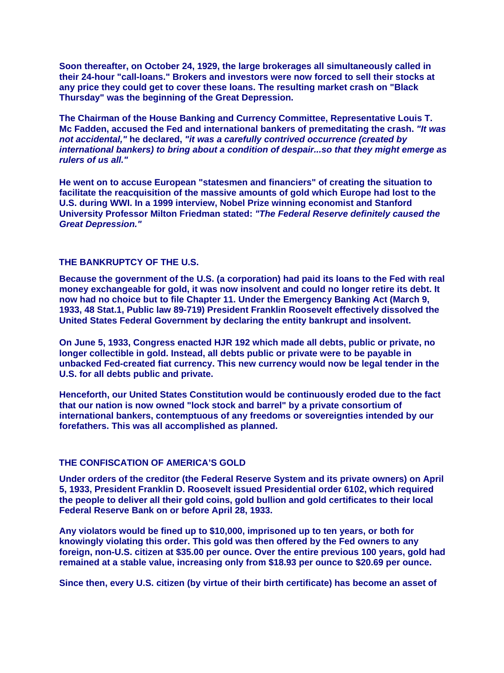**Soon thereafter, on October 24, 1929, the large brokerages all simultaneously called in their 24-hour "call-loans." Brokers and investors were now forced to sell their stocks at any price they could get to cover these loans. The resulting market crash on "Black Thursday" was the beginning of the Great Depression.**

**The Chairman of the House Banking and Currency Committee, Representative Louis T. Mc Fadden, accused the Fed and international bankers of premeditating the crash.** *"It was not accidental,"* **he declared,** *"it was a carefully contrived occurrence (created by international bankers) to bring about a condition of despair...so that they might emerge as rulers of us all."*

**He went on to accuse European "statesmen and financiers" of creating the situation to facilitate the reacquisition of the massive amounts of gold which Europe had lost to the U.S. during WWI. In a 1999 interview, Nobel Prize winning economist and Stanford University Professor Milton Friedman stated:** *"The Federal Reserve definitely caused the Great Depression."*

## **THE BANKRUPTCY OF THE U.S.**

**Because the government of the U.S. (a corporation) had paid its loans to the Fed with real money exchangeable for gold, it was now insolvent and could no longer retire its debt. It now had no choice but to file Chapter 11. Under the Emergency Banking Act (March 9, 1933, 48 Stat.1, Public law 89-719) President Franklin Roosevelt effectively dissolved the United States Federal Government by declaring the entity bankrupt and insolvent.**

**On June 5, 1933, Congress enacted HJR 192 which made all debts, public or private, no longer collectible in gold. Instead, all debts public or private were to be payable in unbacked Fed-created fiat currency. This new currency would now be legal tender in the U.S. for all debts public and private.**

**Henceforth, our United States Constitution would be continuously eroded due to the fact that our nation is now owned "lock stock and barrel" by a private consortium of international bankers, contemptuous of any freedoms or sovereignties intended by our forefathers. This was all accomplished as planned.**

#### **THE CONFISCATION OF AMERICA'S GOLD**

**Under orders of the creditor (the Federal Reserve System and its private owners) on April 5, 1933, President Franklin D. Roosevelt issued Presidential order 6102, which required the people to deliver all their gold coins, gold bullion and gold certificates to their local Federal Reserve Bank on or before April 28, 1933.**

**Any violators would be fined up to \$10,000, imprisoned up to ten years, or both for knowingly violating this order. This gold was then offered by the Fed owners to any foreign, non-U.S. citizen at \$35.00 per ounce. Over the entire previous 100 years, gold had remained at a stable value, increasing only from \$18.93 per ounce to \$20.69 per ounce.** 

**Since then, every U.S. citizen (by virtue of their birth certificate) has become an asset of**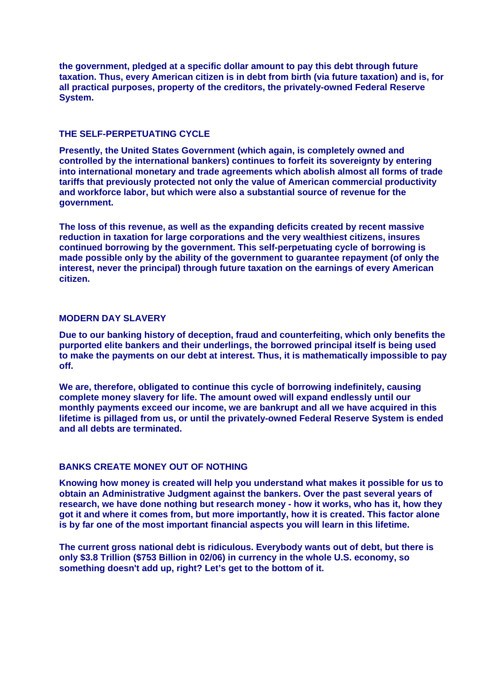**the government, pledged at a specific dollar amount to pay this debt through future taxation. Thus, every American citizen is in debt from birth (via future taxation) and is, for all practical purposes, property of the creditors, the privately-owned Federal Reserve System.**

## **THE SELE-PERPETUATING CYCLE**

**Presently, the United States Government (which again, is completely owned and controlled by the international bankers) continues to forfeit its sovereignty by entering into international monetary and trade agreements which abolish almost all forms of trade tariffs that previously protected not only the value of American commercial productivity and workforce labor, but which were also a substantial source of revenue for the government.**

**The loss of this revenue, as well as the expanding deficits created by recent massive reduction in taxation for large corporations and the very wealthiest citizens, insures continued borrowing by the government. This self-perpetuating cycle of borrowing is made possible only by the ability of the government to guarantee repayment (of only the interest, never the principal) through future taxation on the earnings of every American citizen.** 

#### **MODERN DAY SLAVERY**

**Due to our banking history of deception, fraud and counterfeiting, which only benefits the purported elite bankers and their underlings, the borrowed principal itself is being used to make the payments on our debt at interest. Thus, it is mathematically impossible to pay off.**

**We are, therefore, obligated to continue this cycle of borrowing indefinitely, causing complete money slavery for life. The amount owed will expand endlessly until our monthly payments exceed our income, we are bankrupt and all we have acquired in this lifetime is pillaged from us, or until the privately-owned Federal Reserve System is ended and all debts are terminated.**

## **BANKS CREATE MONEY OUT OF NOTHING**

**Knowing how money is created will help you understand what makes it possible for us to obtain an Administrative Judgment against the bankers. Over the past several years of research, we have done nothing but research money - how it works, who has it, how they got it and where it comes from, but more importantly, how it is created. This factor alone is by far one of the most important financial aspects you will learn in this lifetime.**

**The current gross national debt is ridiculous. Everybody wants out of debt, but there is only \$3.8 Trillion (\$753 Billion in 02/06) in currency in the whole U.S. economy, so something doesn't add up, right? Let's get to the bottom of it.**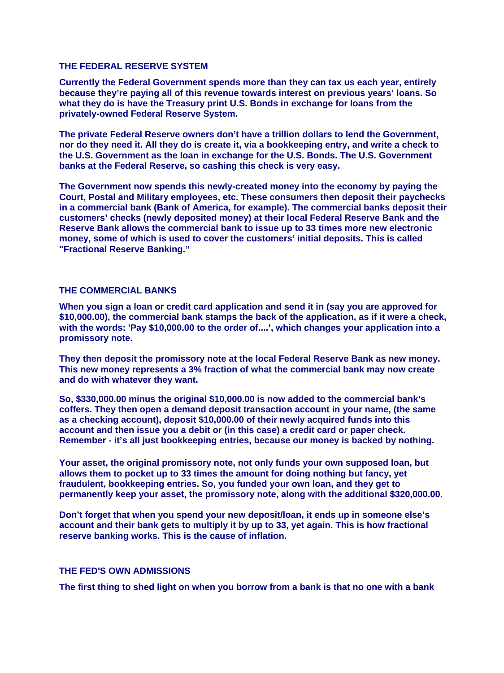#### **THE FEDERAL RESERVE SYSTEM**

**Currently the Federal Government spends more than they can tax us each year, entirely because they're paying all of this revenue towards interest on previous years' loans. So what they do is have the Treasury print U.S. Bonds in exchange for loans from the privately-owned Federal Reserve System.**

**The private Federal Reserve owners don't have a trillion dollars to lend the Government, nor do they need it. All they do is create it, via a bookkeeping entry, and write a check to the U.S. Government as the loan in exchange for the U.S. Bonds. The U.S. Government banks at the Federal Reserve, so cashing this check is very easy.**

**The Government now spends this newly-created money into the economy by paying the Court, Postal and Military employees, etc. These consumers then deposit their paychecks in a commercial bank (Bank of America, for example). The commercial banks deposit their customers' checks (newly deposited money) at their local Federal Reserve Bank and the Reserve Bank allows the commercial bank to issue up to 33 times more new electronic money, some of which is used to cover the customers' initial deposits. This is called "Fractional Reserve Banking."**

#### **THE COMMERCIAL BANKS**

**When you sign a loan or credit card application and send it in (say you are approved for \$10,000.00), the commercial bank stamps the back of the application, as if it were a check, with the words: 'Pay \$10,000.00 to the order of....', which changes your application into a promissory note.** 

**They then deposit the promissory note at the local Federal Reserve Bank as new money. This new money represents a 3% fraction of what the commercial bank may now create and do with whatever they want.**

**So, \$330,000.00 minus the original \$10,000.00 is now added to the commercial bank's coffers. They then open a demand deposit transaction account in your name, (the same as a checking account), deposit \$10,000.00 of their newly acquired funds into this account and then issue you a debit or (in this case) a credit card or paper check. Remember - it's all just bookkeeping entries, because our money is backed by nothing.**

**Your asset, the original promissory note, not only funds your own supposed loan, but allows them to pocket up to 33 times the amount for doing nothing but fancy, yet fraudulent, bookkeeping entries. So, you funded your own loan, and they get to permanently keep your asset, the promissory note, along with the additional \$320,000.00.** 

**Don't forget that when you spend your new deposit/loan, it ends up in someone else's account and their bank gets to multiply it by up to 33, yet again. This is how fractional reserve banking works. This is the cause of inflation.** 

#### **THE FED'S OWN ADMISSIONS**

**The first thing to shed light on when you borrow from a bank is that no one with a bank**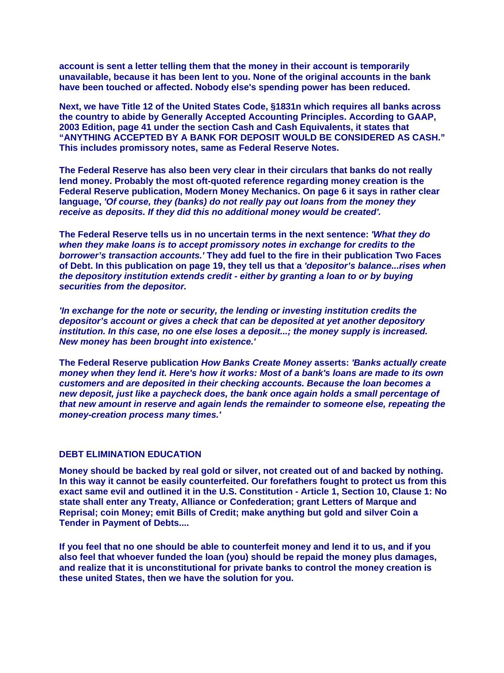**account is sent a letter telling them that the money in their account is temporarily unavailable, because it has been lent to you. None of the original accounts in the bank have been touched or affected. Nobody else's spending power has been reduced.** 

**Next, we have Title 12 of the United States Code, §1831n which requires all banks across the country to abide by Generally Accepted Accounting Principles. According to GAAP, 2003 Edition, page 41 under the section Cash and Cash Equivalents, it states that "ANYTHING ACCEPTED BY A BANK FOR DEPOSIT WOULD BE CONSIDERED AS CASH." This includes promissory notes, same as Federal Reserve Notes.** 

**The Federal Reserve has also been very clear in their circulars that banks do not really lend money. Probably the most oft-quoted reference regarding money creation is the Federal Reserve publication, Modern Money Mechanics. On page 6 it says in rather clear language,** *'Of course, they (banks) do not really pay out loans from the money they receive as deposits. If they did this no additional money would be created'.*

**The Federal Reserve tells us in no uncertain terms in the next sentence:** *'What they do when they make loans is to accept promissory notes in exchange for credits to the borrower's transaction accounts.'* **They add fuel to the fire in their publication Two Faces of Debt. In this publication on page 19, they tell us that a** *'depositor's balance...rises when the depository institution extends credit - either by granting a loan to or by buying securities from the depositor.*

*'In exchange for the note or security, the lending or investing institution credits the depositor's account or gives a check that can be deposited at yet another depository institution. In this case, no one else loses a deposit...; the money supply is increased. New money has been brought into existence.'*

**The Federal Reserve publication** *How Banks Create Money* **asserts:** *'Banks actually create money when they lend it. Here's how it works: Most of a bank's loans are made to its own customers and are deposited in their checking accounts. Because the loan becomes a new deposit, just like a paycheck does, the bank once again holds a small percentage of that new amount in reserve and again lends the remainder to someone else, repeating the money-creation process many times.'*

## **DEBT ELIMINATION EDUCATION**

**Money should be backed by real gold or silver, not created out of and backed by nothing. In this way it cannot be easily counterfeited. Our forefathers fought to protect us from this exact same evil and outlined it in the U.S. Constitution - Article 1, Section 10, Clause 1: No state shall enter any Treaty, Alliance or Confederation; grant Letters of Marque and Reprisal; coin Money; emit Bills of Credit; make anything but gold and silver Coin a Tender in Payment of Debts....**

**If you feel that no one should be able to counterfeit money and lend it to us, and if you also feel that whoever funded the loan (you) should be repaid the money plus damages, and realize that it is unconstitutional for private banks to control the money creation is these united States, then we have the solution for you.**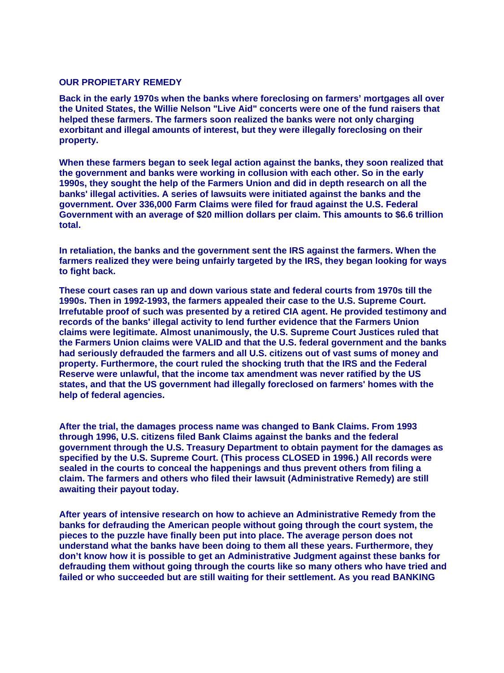#### **OUR PROPIETARY REMEDY**

**Back in the early 1970s when the banks where foreclosing on farmers' mortgages all over the United States, the Willie Nelson "Live Aid" concerts were one of the fund raisers that helped these farmers. The farmers soon realized the banks were not only charging exorbitant and illegal amounts of interest, but they were illegally foreclosing on their property.**

**When these farmers began to seek legal action against the banks, they soon realized that the government and banks were working in collusion with each other. So in the early 1990s, they sought the help of the Farmers Union and did in depth research on all the banks' illegal activities. A series of lawsuits were initiated against the banks and the government. Over 336,000 Farm Claims were filed for fraud against the U.S. Federal Government with an average of \$20 million dollars per claim. This amounts to \$6.6 trillion total.**

**In retaliation, the banks and the government sent the IRS against the farmers. When the farmers realized they were being unfairly targeted by the IRS, they began looking for ways to fight back.** 

**These court cases ran up and down various state and federal courts from 1970s till the 1990s. Then in 1992-1993, the farmers appealed their case to the U.S. Supreme Court. Irrefutable proof of such was presented by a retired CIA agent. He provided testimony and records of the banks' illegal activity to lend further evidence that the Farmers Union claims were legitimate. Almost unanimously, the U.S. Supreme Court Justices ruled that the Farmers Union claims were VALID and that the U.S. federal government and the banks had seriously defrauded the farmers and all U.S. citizens out of vast sums of money and property. Furthermore, the court ruled the shocking truth that the IRS and the Federal Reserve were unlawful, that the income tax amendment was never ratified by the US states, and that the US government had illegally foreclosed on farmers' homes with the help of federal agencies.**

**After the trial, the damages process name was changed to Bank Claims. From 1993 through 1996, U.S. citizens filed Bank Claims against the banks and the federal government through the U.S. Treasury Department to obtain payment for the damages as specified by the U.S. Supreme Court. (This process CLOSED in 1996.) All records were sealed in the courts to conceal the happenings and thus prevent others from filing a claim. The farmers and others who filed their lawsuit (Administrative Remedy) are still awaiting their payout today.**

**After years of intensive research on how to achieve an Administrative Remedy from the banks for defrauding the American people without going through the court system, the pieces to the puzzle have finally been put into place. The average person does not understand what the banks have been doing to them all these years. Furthermore, they don't know how it is possible to get an Administrative Judgment against these banks for defrauding them without going through the courts like so many others who have tried and failed or who succeeded but are still waiting for their settlement. As you read BANKING**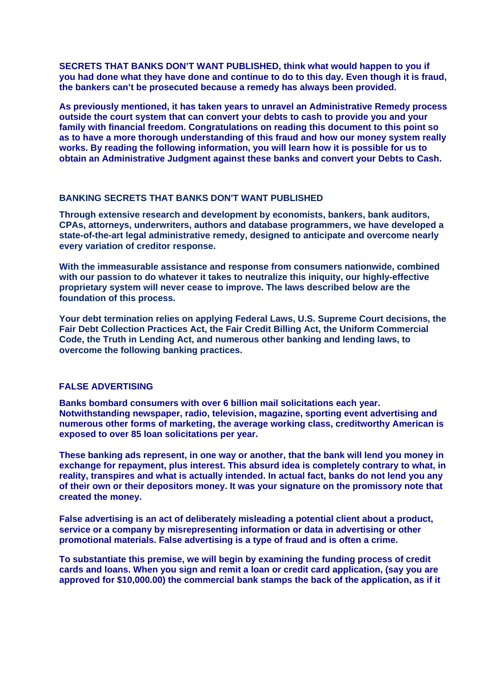**SECRETS THAT BANKS DON'T WANT PUBLISHED, think what would happen to you if you had done what they have done and continue to do to this day. Even though it is fraud, the bankers can't be prosecuted because a remedy has always been provided.** 

**As previously mentioned, it has taken years to unravel an Administrative Remedy process outside the court system that can convert your debts to cash to provide you and your family with financial freedom. Congratulations on reading this document to this point so as to have a more thorough understanding of this fraud and how our money system really works. By reading the following information, you will learn how it is possible for us to obtain an Administrative Judgment against these banks and convert your Debts to Cash.** 

## **BANKING SECRETS THAT BANKS DON'T WANT PUBLISHED**

**Through extensive research and development by economists, bankers, bank auditors, CPAs, attorneys, underwriters, authors and database programmers, we have developed a state-of-the-art legal administrative remedy, designed to anticipate and overcome nearly every variation of creditor response.** 

**With the immeasurable assistance and response from consumers nationwide, combined with our passion to do whatever it takes to neutralize this iniquity, our highly-effective proprietary system will never cease to improve. The laws described below are the foundation of this process.** 

**Your debt termination relies on applying Federal Laws, U.S. Supreme Court decisions, the Fair Debt Collection Practices Act, the Fair Credit Billing Act, the Uniform Commercial Code, the Truth in Lending Act, and numerous other banking and lending laws, to overcome the following banking practices.** 

## **FALSE ADVERTISING**

**Banks bombard consumers with over 6 billion mail solicitations each year. Notwithstanding newspaper, radio, television, magazine, sporting event advertising and numerous other forms of marketing, the average working class, creditworthy American is exposed to over 85 loan solicitations per year.**

**These banking ads represent, in one way or another, that the bank will lend you money in exchange for repayment, plus interest. This absurd idea is completely contrary to what, in reality, transpires and what is actually intended. In actual fact, banks do not lend you any of their own or their depositors money. It was your signature on the promissory note that created the money.**

**False advertising is an act of deliberately misleading a potential client about a product, service or a company by misrepresenting information or data in advertising or other promotional materials. False advertising is a type of fraud and is often a crime.**

**To substantiate this premise, we will begin by examining the funding process of credit cards and loans. When you sign and remit a loan or credit card application, (say you are approved for \$10,000.00) the commercial bank stamps the back of the application, as if it**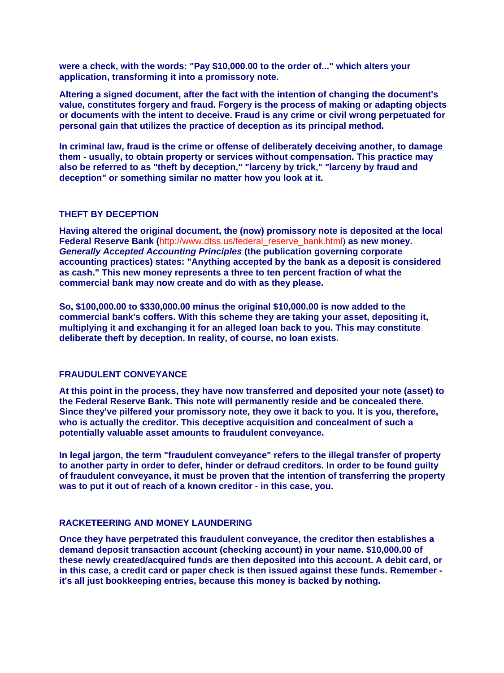**were a check, with the words: "Pay \$10,000.00 to the order of..." which alters your application, transforming it into a promissory note.**

**Altering a signed document, after the fact with the intention of changing the document's value, constitutes forgery and fraud. Forgery is the process of making or adapting objects or documents with the intent to deceive. Fraud is any crime or civil wrong perpetuated for personal gain that utilizes the practice of deception as its principal method.** 

**In criminal law, fraud is the crime or offense of deliberately deceiving another, to damage them - usually, to obtain property or services without compensation. This practice may also be referred to as "theft by deception," "larceny by trick," "larceny by fraud and deception" or something similar no matter how you look at it.**

## **THEFT BY DECEPTION**

**Having altered the original document, the (now) promissory note is deposited at the local Federal Reserve Bank (**[http://www.dtss.us/federal\\_reserve\\_bank.html](http://www.fdrs.org/federal_reserve_bank.html)) **as new money.**  *Generally Accepted Accounting Principles* **(the publication governing corporate accounting practices) states: "Anything accepted by the bank as a deposit is considered as cash." This new money represents a three to ten percent fraction of what the commercial bank may now create and do with as they please.** 

**So, \$100,000.00 to \$330,000.00 minus the original \$10,000.00 is now added to the commercial bank's coffers. With this scheme they are taking your asset, depositing it, multiplying it and exchanging it for an alleged loan back to you. This may constitute deliberate theft by deception. In reality, of course, no loan exists.**

#### **FRAUDULENT CONVEYANCE**

**At this point in the process, they have now transferred and deposited your note (asset) to the Federal Reserve Bank. This note will permanently reside and be concealed there. Since they've pilfered your promissory note, they owe it back to you. It is you, therefore, who is actually the creditor. This deceptive acquisition and concealment of such a potentially valuable asset amounts to fraudulent conveyance.**

**In legal jargon, the term "fraudulent conveyance" refers to the illegal transfer of property to another party in order to defer, hinder or defraud creditors. In order to be found guilty of fraudulent conveyance, it must be proven that the intention of transferring the property was to put it out of reach of a known creditor - in this case, you.**

#### **RACKETEERING AND MONEY LAUNDERING**

**Once they have perpetrated this fraudulent conveyance, the creditor then establishes a demand deposit transaction account (checking account) in your name. \$10,000.00 of these newly created/acquired funds are then deposited into this account. A debit card, or in this case, a credit card or paper check is then issued against these funds. Remember it's all just bookkeeping entries, because this money is backed by nothing.**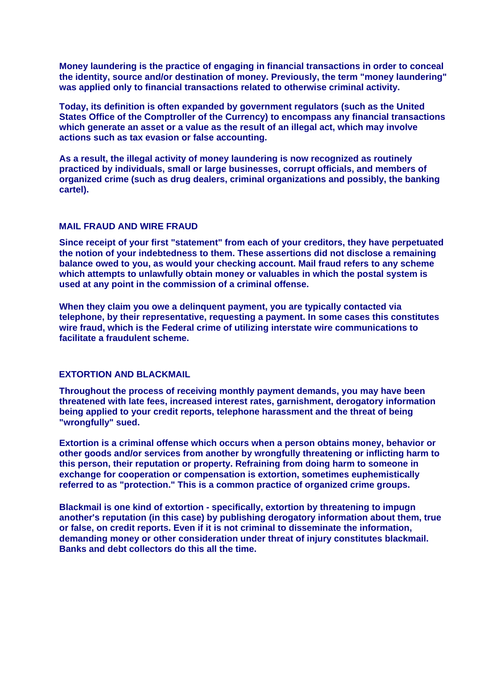**Money laundering is the practice of engaging in financial transactions in order to conceal the identity, source and/or destination of money. Previously, the term "money laundering" was applied only to financial transactions related to otherwise criminal activity.** 

**Today, its definition is often expanded by government regulators (such as the United States Office of the Comptroller of the Currency) to encompass any financial transactions which generate an asset or a value as the result of an illegal act, which may involve actions such as tax evasion or false accounting.**

**As a result, the illegal activity of money laundering is now recognized as routinely practiced by individuals, small or large businesses, corrupt officials, and members of organized crime (such as drug dealers, criminal organizations and possibly, the banking cartel).**

## **MAIL FRAUD AND WIRE FRAUD**

**Since receipt of your first "statement" from each of your creditors, they have perpetuated the notion of your indebtedness to them. These assertions did not disclose a remaining balance owed to you, as would your checking account. Mail fraud refers to any scheme which attempts to unlawfully obtain money or valuables in which the postal system is used at any point in the commission of a criminal offense.** 

**When they claim you owe a delinquent payment, you are typically contacted via telephone, by their representative, requesting a payment. In some cases this constitutes wire fraud, which is the Federal crime of utilizing interstate wire communications to facilitate a fraudulent scheme.** 

## **EXTORTION AND BLACKMAIL**

**Throughout the process of receiving monthly payment demands, you may have been threatened with late fees, increased interest rates, garnishment, derogatory information being applied to your credit reports, telephone harassment and the threat of being "wrongfully" sued.** 

**Extortion is a criminal offense which occurs when a person obtains money, behavior or other goods and/or services from another by wrongfully threatening or inflicting harm to this person, their reputation or property. Refraining from doing harm to someone in exchange for cooperation or compensation is extortion, sometimes euphemistically referred to as "protection." This is a common practice of organized crime groups.**

**Blackmail is one kind of extortion - specifically, extortion by threatening to impugn another's reputation (in this case) by publishing derogatory information about them, true or false, on credit reports. Even if it is not criminal to disseminate the information, demanding money or other consideration under threat of injury constitutes blackmail. Banks and debt collectors do this all the time.**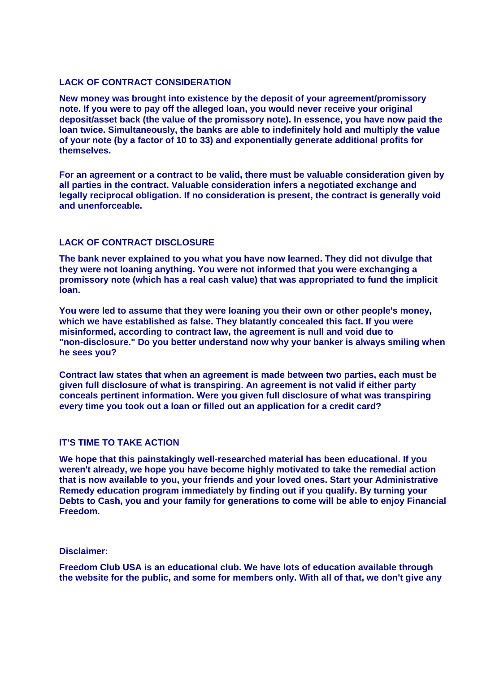## **LACK OF CONTRACT CONSIDERATION**

**New money was brought into existence by the deposit of your agreement/promissory note. If you were to pay off the alleged loan, you would never receive your original deposit/asset back (the value of the promissory note). In essence, you have now paid the loan twice. Simultaneously, the banks are able to indefinitely hold and multiply the value of your note (by a factor of 10 to 33) and exponentially generate additional profits for themselves.**

**For an agreement or a contract to be valid, there must be valuable consideration given by all parties in the contract. Valuable consideration infers a negotiated exchange and legally reciprocal obligation. If no consideration is present, the contract is generally void and unenforceable.** 

#### **LACK OF CONTRACT DISCLOSURE**

**The bank never explained to you what you have now learned. They did not divulge that they were not loaning anything. You were not informed that you were exchanging a promissory note (which has a real cash value) that was appropriated to fund the implicit loan.** 

"non-disclosure." Do you better understand now why your banker is always smiling when **? he sees you You were led to assume that they were loaning you their own or other people's money, which we have established as false. They blatantly concealed this fact. If you were misinformed, according to contract law, the agreement is null and void due to** 

**Contract law states that when an agreement is made between two parties, each must be given full disclosure of what is transpiring. An agreement is not valid if either party conceals pertinent information. Were you given full disclosure of what was transpiring every time you took out a loan or filled out an application for a credit card?**

#### **IT'S TIME TO TAKE ACTION**

**We hope that this painstakingly well-researched material has been educational. If you weren't already, we hope you have become highly motivated to take the remedial action that is now available to you, your friends and your loved ones. Start your Administrative Remedy education program immediately by finding out if you qualify. By turning your Debts to Cash, you and your family for generations to come will be able to enjoy Financial Freedom.** 

#### **Disclaimer:**

**Freedom Club USA is an educational club. We have lots of education available through the website for the public, and some for members only. With all of that, we don't give any**